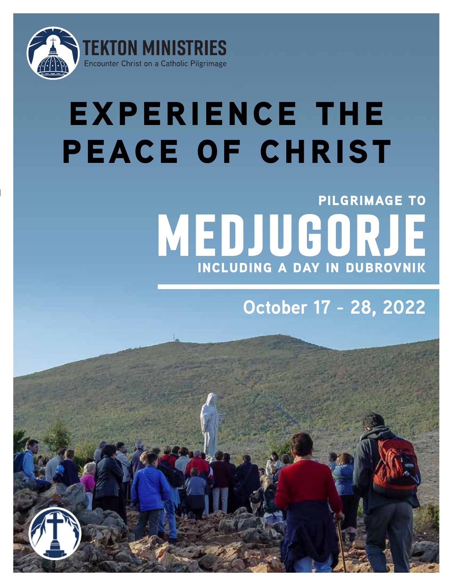

# **EXPERIENCE THE peace of christ**

## **Medjugorje pilgrimage to including a day in dubrovnik**

## **October 17 - 28, 2022**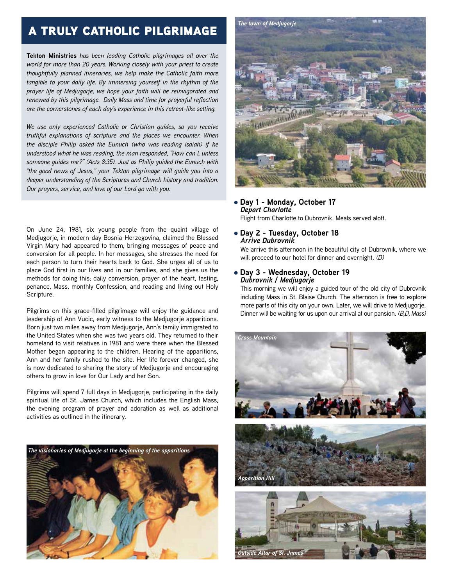### a truly catholic pilgrimage

**Tekton Ministries** *has been leading Catholic pilgrimages all over the world for more than 20 years. Working closely with your priest to create thoughtfully planned itineraries, we help make the Catholic faith more tangible to your daily life. By immersing yourself in the rhythm of the prayer life of Medjugorje, we hope your faith will be reinvigorated and renewed by this pilgrimage. Daily Mass and time for prayerful reflection are the cornerstones of each day's experience in this retreat-like setting.*

*We use only experienced Catholic or Christian guides, so you receive truthful explanations of scripture and the places we encounter. When the disciple Philip asked the Eunuch (who was reading Isaiah) if he understood what he was reading, the man responded, "How can I, unless someone guides me?" (Acts 8:35). Just as Philip guided the Eunuch with "the good news of Jesus," your Tekton pilgrimage will guide you into a deeper understanding of the Scriptures and Church history and tradition. Our prayers, service, and love of our Lord go with you.*

On June 24, 1981, six young people from the quaint village of Medjugorje, in modern-day Bosnia-Herzegovina, claimed the Blessed Virgin Mary had appeared to them, bringing messages of peace and conversion for all people. In her messages, she stresses the need for each person to turn their hearts back to God. She urges all of us to place God first in our lives and in our families, and she gives us the methods for doing this; daily conversion, prayer of the heart, fasting, penance, Mass, monthly Confession, and reading and living out Holy Scripture.

Pilgrims on this grace-filled pilgrimage will enjoy the guidance and leadership of Ann Vucic, early witness to the Medjugorje apparitions. Born just two miles away from Medjugorje, Ann's family immigrated to the United States when she was two years old. They returned to their homeland to visit relatives in 1981 and were there when the Blessed Mother began appearing to the children. Hearing of the apparitions, Ann and her family rushed to the site. Her life forever changed, she is now dedicated to sharing the story of Medjugorje and encouraging others to grow in love for Our Lady and her Son.

Pilgrims will spend 7 full days in Medjugorje, participating in the daily spiritual life of St. James Church, which includes the English Mass, the evening program of prayer and adoration as well as additional activities as outlined in the itinerary.





#### l **Day 1 - Monday, October 17** *Depart Charlotte*

Flight from Charlotte to Dubrovnik. Meals served aloft.

#### l **Day 2 - Tuesday, October 18** *Arrive Dubrovnik*

We arrive this afternoon in the beautiful city of Dubrovnik, where we will proceed to our hotel for dinner and overnight. *(D)*

l **Day 3 - Wednesday, October 19** *Dubrovnik / Medjugorje*

This morning we will enjoy a guided tour of the old city of Dubrovnik including Mass in St. Blaise Church. The afternoon is free to explore more parts of this city on your own. Later, we will drive to Medjugorje. Dinner will be waiting for us upon our arrival at our pansion. *(B,D, Mass)*

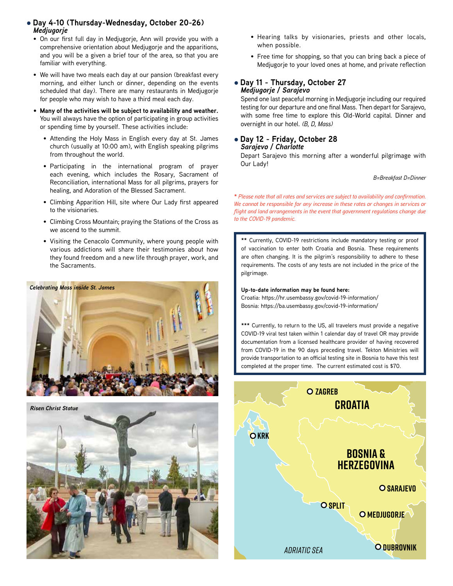- l **Day 4-10 (Thursday-Wednesday, October 20-26)** *Medjugorje*
	- On our first full day in Medjugorje, Ann will provide you with a comprehensive orientation about Medjugorje and the apparitions, and you will be a given a brief tour of the area, so that you are familiar with everything.
	- We will have two meals each day at our pansion (breakfast every morning, and either lunch or dinner, depending on the events scheduled that day). There are many restaurants in Medjugorje for people who may wish to have a third meal each day.
	- **• Many of the activities will be subject to availability and weather.**  You will always have the option of participating in group activities or spending time by yourself. These activities include:
		- Attending the Holy Mass in English every day at St. James church (usually at 10:00 am), with English speaking pilgrims from throughout the world.
		- Participating in the international program of prayer each evening, which includes the Rosary, Sacrament of Reconciliation, international Mass for all pilgrims, prayers for healing, and Adoration of the Blessed Sacrament.
		- Climbing Apparition Hill, site where Our Lady first appeared to the visionaries.
		- Climbing Cross Mountain; praying the Stations of the Cross as we ascend to the summit.
		- Visiting the Cenacolo Community, where young people with various addictions will share their testimonies about how they found freedom and a new life through prayer, work, and the Sacraments.





- Hearing talks by visionaries, priests and other locals, when possible.
- Free time for shopping, so that you can bring back a piece of Medjugorje to your loved ones at home, and private reflection

#### l **Day 11 - Thursday, October 27** *Medjugorje / Sarajevo*

Spend one last peaceful morning in Medjugorje including our required testing for our departure and one final Mass. Then depart for Sarajevo, with some free time to explore this Old-World capital. Dinner and overnight in our hotel. *(B, D, Mass)* 

#### l **Day 12 - Friday, October 28** *Sarajevo / Charlotte*

Depart Sarajevo this morning after a wonderful pilgrimage with Our Lady!

*B=Breakfast D=Dinner*

**\*** *Please note that all rates and services are subject to availability and confirmation. We cannot be responsible for any increase in these rates or changes in services or flight and land arrangements in the event that government regulations change due to the COVID-19 pandemic.*

**\*\*** Currently, COVID-19 restrictions include mandatory testing or proof of vaccination to enter both Croatia and Bosnia. These requirements are often changing. It is the pilgrim's responsibility to adhere to these requirements. The costs of any tests are not included in the price of the pilgrimage.

#### **Up-to-date information may be found here:**

Croatia: https://hr.usembassy.gov/covid-19-information/ Bosnia: https://ba.usembassy.gov/covid-19-information/

\*\*\* Currently, to return to the US, all travelers must provide a negative **hungary** COVID-19 viral test taken within 1 calendar day of travel OR may provide documentation from a licensed healthcare provider of having recovered from COVID-19 in the 90 days preceding travel. Tekton Ministries will provide transportation to an official testing site in Bosnia to have this test